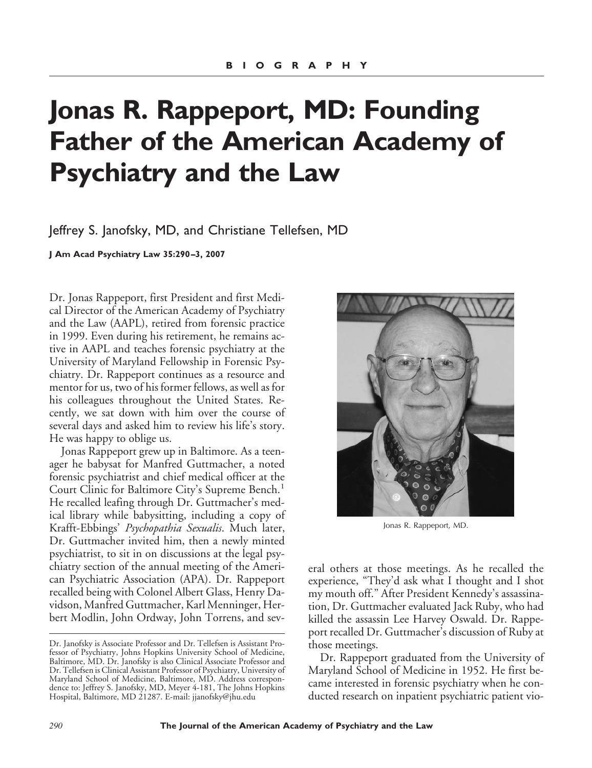## **Jonas R. Rappeport, MD: Founding Father of the American Academy of Psychiatry and the Law**

Jeffrey S. Janofsky, MD, and Christiane Tellefsen, MD

**J Am Acad Psychiatry Law 35:290 –3, 2007**

Dr. Jonas Rappeport, first President and first Medical Director of the American Academy of Psychiatry and the Law (AAPL), retired from forensic practice in 1999. Even during his retirement, he remains active in AAPL and teaches forensic psychiatry at the University of Maryland Fellowship in Forensic Psychiatry. Dr. Rappeport continues as a resource and mentor for us, two of his former fellows, as well as for his colleagues throughout the United States. Recently, we sat down with him over the course of several days and asked him to review his life's story. He was happy to oblige us.

Jonas Rappeport grew up in Baltimore. As a teenager he babysat for Manfred Guttmacher, a noted forensic psychiatrist and chief medical officer at the Court Clinic for Baltimore City's Supreme Bench.<sup>1</sup> He recalled leafing through Dr. Guttmacher's medical library while babysitting, including a copy of Krafft-Ebbings' *Psychopathia Sexualis*. Much later, Dr. Guttmacher invited him, then a newly minted psychiatrist, to sit in on discussions at the legal psychiatry section of the annual meeting of the American Psychiatric Association (APA). Dr. Rappeport recalled being with Colonel Albert Glass, Henry Davidson, Manfred Guttmacher, Karl Menninger, Herbert Modlin, John Ordway, John Torrens, and sev-



Jonas R. Rappeport, MD.

eral others at those meetings. As he recalled the experience, "They'd ask what I thought and I shot my mouth off." After President Kennedy's assassination, Dr. Guttmacher evaluated Jack Ruby, who had killed the assassin Lee Harvey Oswald. Dr. Rappeport recalled Dr. Guttmacher's discussion of Ruby at those meetings.

Dr. Rappeport graduated from the University of Maryland School of Medicine in 1952. He first became interested in forensic psychiatry when he conducted research on inpatient psychiatric patient vio-

Dr. Janofsky is Associate Professor and Dr. Tellefsen is Assistant Professor of Psychiatry, Johns Hopkins University School of Medicine, Baltimore, MD. Dr. Janofsky is also Clinical Associate Professor and Dr. Tellefsen is Clinical Assistant Professor of Psychiatry, University of Maryland School of Medicine, Baltimore, MD. Address correspondence to: Jeffrey S. Janofsky, MD, Meyer 4-181, The Johns Hopkins Hospital, Baltimore, MD 21287. E-mail: jjanofsky@jhu.edu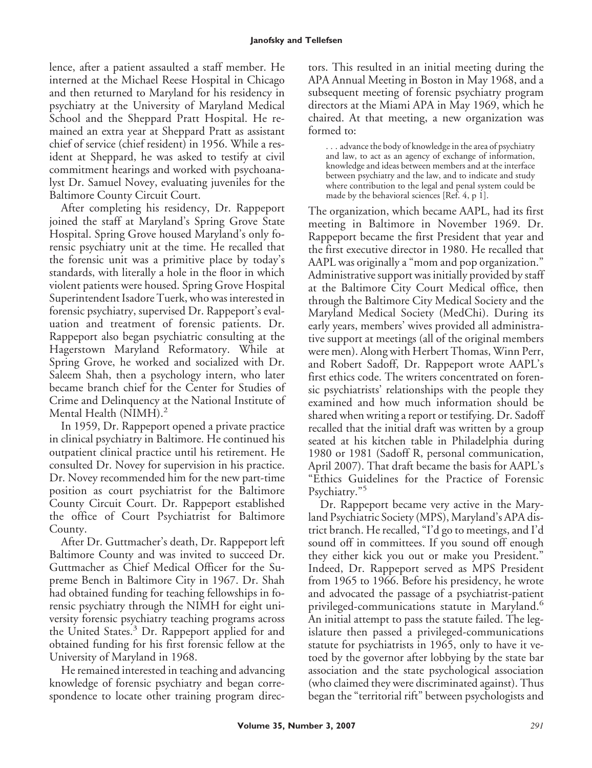lence, after a patient assaulted a staff member. He interned at the Michael Reese Hospital in Chicago and then returned to Maryland for his residency in psychiatry at the University of Maryland Medical School and the Sheppard Pratt Hospital. He remained an extra year at Sheppard Pratt as assistant chief of service (chief resident) in 1956. While a resident at Sheppard, he was asked to testify at civil commitment hearings and worked with psychoanalyst Dr. Samuel Novey, evaluating juveniles for the Baltimore County Circuit Court.

After completing his residency, Dr. Rappeport joined the staff at Maryland's Spring Grove State Hospital. Spring Grove housed Maryland's only forensic psychiatry unit at the time. He recalled that the forensic unit was a primitive place by today's standards, with literally a hole in the floor in which violent patients were housed. Spring Grove Hospital Superintendent Isadore Tuerk, who was interested in forensic psychiatry, supervised Dr. Rappeport's evaluation and treatment of forensic patients. Dr. Rappeport also began psychiatric consulting at the Hagerstown Maryland Reformatory. While at Spring Grove, he worked and socialized with Dr. Saleem Shah, then a psychology intern, who later became branch chief for the Center for Studies of Crime and Delinquency at the National Institute of Mental Health (NIMH).<sup>2</sup>

In 1959, Dr. Rappeport opened a private practice in clinical psychiatry in Baltimore. He continued his outpatient clinical practice until his retirement. He consulted Dr. Novey for supervision in his practice. Dr. Novey recommended him for the new part-time position as court psychiatrist for the Baltimore County Circuit Court. Dr. Rappeport established the office of Court Psychiatrist for Baltimore County.

After Dr. Guttmacher's death, Dr. Rappeport left Baltimore County and was invited to succeed Dr. Guttmacher as Chief Medical Officer for the Supreme Bench in Baltimore City in 1967. Dr. Shah had obtained funding for teaching fellowships in forensic psychiatry through the NIMH for eight university forensic psychiatry teaching programs across the United States.<sup>3</sup> Dr. Rappeport applied for and obtained funding for his first forensic fellow at the University of Maryland in 1968.

He remained interested in teaching and advancing knowledge of forensic psychiatry and began correspondence to locate other training program directors. This resulted in an initial meeting during the APA Annual Meeting in Boston in May 1968, and a subsequent meeting of forensic psychiatry program directors at the Miami APA in May 1969, which he chaired. At that meeting, a new organization was formed to:

. . . advance the body of knowledge in the area of psychiatry and law, to act as an agency of exchange of information, knowledge and ideas between members and at the interface between psychiatry and the law, and to indicate and study where contribution to the legal and penal system could be made by the behavioral sciences [Ref. 4, p 1].

The organization, which became AAPL, had its first meeting in Baltimore in November 1969. Dr. Rappeport became the first President that year and the first executive director in 1980. He recalled that AAPL was originally a "mom and pop organization." Administrative support was initially provided by staff at the Baltimore City Court Medical office, then through the Baltimore City Medical Society and the Maryland Medical Society (MedChi). During its early years, members' wives provided all administrative support at meetings (all of the original members were men). Along with Herbert Thomas, Winn Perr, and Robert Sadoff, Dr. Rappeport wrote AAPL's first ethics code. The writers concentrated on forensic psychiatrists' relationships with the people they examined and how much information should be shared when writing a report or testifying. Dr. Sadoff recalled that the initial draft was written by a group seated at his kitchen table in Philadelphia during 1980 or 1981 (Sadoff R, personal communication, April 2007). That draft became the basis for AAPL's "Ethics Guidelines for the Practice of Forensic Psychiatry."<sup>5</sup>

Dr. Rappeport became very active in the Maryland Psychiatric Society (MPS), Maryland's APA district branch. He recalled, "I'd go to meetings, and I'd sound off in committees. If you sound off enough they either kick you out or make you President." Indeed, Dr. Rappeport served as MPS President from 1965 to 1966. Before his presidency, he wrote and advocated the passage of a psychiatrist-patient privileged-communications statute in Maryland.<sup>6</sup> An initial attempt to pass the statute failed. The legislature then passed a privileged-communications statute for psychiatrists in 1965, only to have it vetoed by the governor after lobbying by the state bar association and the state psychological association (who claimed they were discriminated against). Thus began the "territorial rift" between psychologists and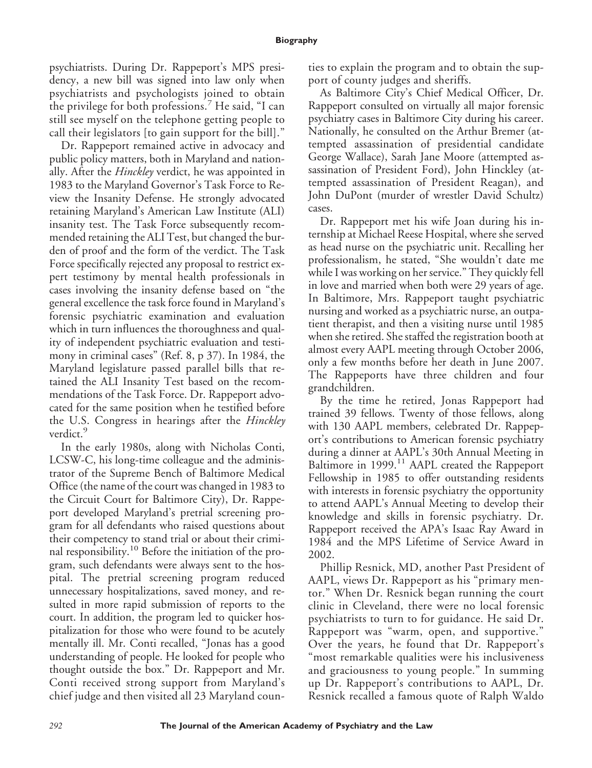psychiatrists. During Dr. Rappeport's MPS presidency, a new bill was signed into law only when psychiatrists and psychologists joined to obtain the privilege for both professions.<sup>7</sup> He said, "I can still see myself on the telephone getting people to call their legislators [to gain support for the bill]."

Dr. Rappeport remained active in advocacy and public policy matters, both in Maryland and nationally. After the *Hinckley* verdict, he was appointed in 1983 to the Maryland Governor's Task Force to Review the Insanity Defense. He strongly advocated retaining Maryland's American Law Institute (ALI) insanity test. The Task Force subsequently recommended retaining the ALI Test, but changed the burden of proof and the form of the verdict. The Task Force specifically rejected any proposal to restrict expert testimony by mental health professionals in cases involving the insanity defense based on "the general excellence the task force found in Maryland's forensic psychiatric examination and evaluation which in turn influences the thoroughness and quality of independent psychiatric evaluation and testimony in criminal cases" (Ref. 8, p 37). In 1984, the Maryland legislature passed parallel bills that retained the ALI Insanity Test based on the recommendations of the Task Force. Dr. Rappeport advocated for the same position when he testified before the U.S. Congress in hearings after the *Hinckley* verdict.<sup>9</sup>

In the early 1980s, along with Nicholas Conti, LCSW-C, his long-time colleague and the administrator of the Supreme Bench of Baltimore Medical Office (the name of the court was changed in 1983 to the Circuit Court for Baltimore City), Dr. Rappeport developed Maryland's pretrial screening program for all defendants who raised questions about their competency to stand trial or about their criminal responsibility.<sup>10</sup> Before the initiation of the program, such defendants were always sent to the hospital. The pretrial screening program reduced unnecessary hospitalizations, saved money, and resulted in more rapid submission of reports to the court. In addition, the program led to quicker hospitalization for those who were found to be acutely mentally ill. Mr. Conti recalled, "Jonas has a good understanding of people. He looked for people who thought outside the box." Dr. Rappeport and Mr. Conti received strong support from Maryland's chief judge and then visited all 23 Maryland counties to explain the program and to obtain the support of county judges and sheriffs.

As Baltimore City's Chief Medical Officer, Dr. Rappeport consulted on virtually all major forensic psychiatry cases in Baltimore City during his career. Nationally, he consulted on the Arthur Bremer (attempted assassination of presidential candidate George Wallace), Sarah Jane Moore (attempted assassination of President Ford), John Hinckley (attempted assassination of President Reagan), and John DuPont (murder of wrestler David Schultz) cases.

Dr. Rappeport met his wife Joan during his internship at Michael Reese Hospital, where she served as head nurse on the psychiatric unit. Recalling her professionalism, he stated, "She wouldn't date me while I was working on her service." They quickly fell in love and married when both were 29 years of age. In Baltimore, Mrs. Rappeport taught psychiatric nursing and worked as a psychiatric nurse, an outpatient therapist, and then a visiting nurse until 1985 when she retired. She staffed the registration booth at almost every AAPL meeting through October 2006, only a few months before her death in June 2007. The Rappeports have three children and four grandchildren.

By the time he retired, Jonas Rappeport had trained 39 fellows. Twenty of those fellows, along with 130 AAPL members, celebrated Dr. Rappeport's contributions to American forensic psychiatry during a dinner at AAPL's 30th Annual Meeting in Baltimore in 1999.<sup>11</sup> AAPL created the Rappeport Fellowship in 1985 to offer outstanding residents with interests in forensic psychiatry the opportunity to attend AAPL's Annual Meeting to develop their knowledge and skills in forensic psychiatry. Dr. Rappeport received the APA's Isaac Ray Award in 1984 and the MPS Lifetime of Service Award in 2002.

Phillip Resnick, MD, another Past President of AAPL, views Dr. Rappeport as his "primary mentor." When Dr. Resnick began running the court clinic in Cleveland, there were no local forensic psychiatrists to turn to for guidance. He said Dr. Rappeport was "warm, open, and supportive." Over the years, he found that Dr. Rappeport's "most remarkable qualities were his inclusiveness and graciousness to young people." In summing up Dr. Rappeport's contributions to AAPL, Dr. Resnick recalled a famous quote of Ralph Waldo